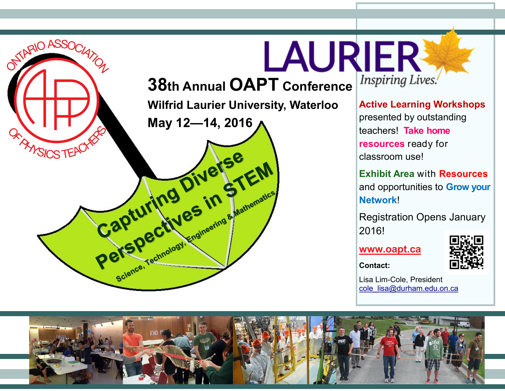

Inspiring Lives. **Active Learning Workshops** 

presented by outstanding teachers! **Take home resources** ready for classroom use!

**Exhibit Area** with **Resources** and opportunities to **Grow your Network**!

Registration Opens January 2016!

**[www.oapt.ca](http://www.oapt.ca/)**



**Contact:**

Lisa Lim-Cole, President [cole\\_lisa@durham.edu.on.ca](mailto:cole_lisa@durham.edu.on.ca)